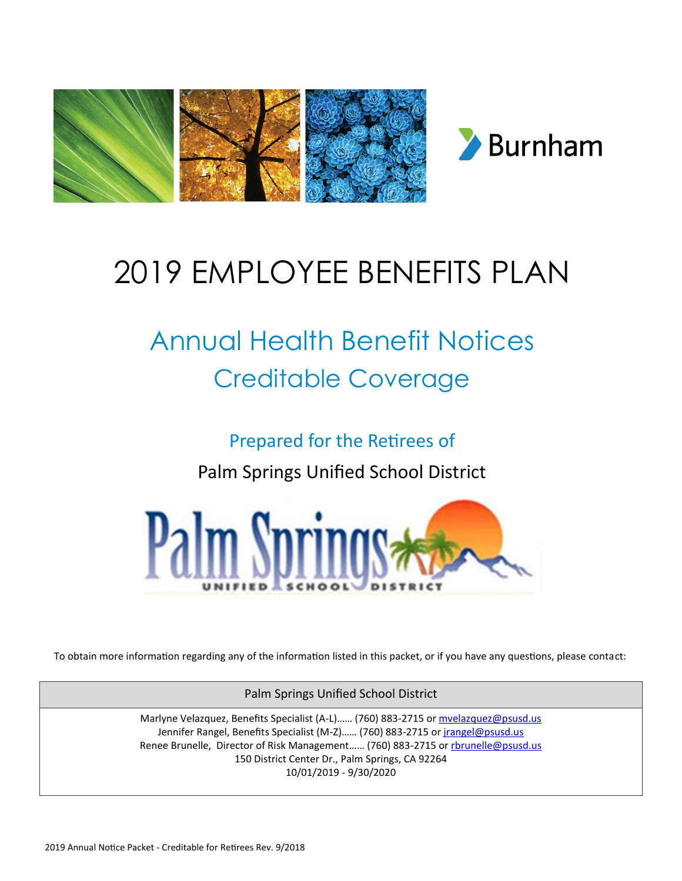

# 2019 EMPLOYEE BENEFITS PLAN

# Annual Health Benefit Notices Creditable Coverage

Prepared for the Retirees of

Palm Springs Unified School District



To obtain more information regarding any of the information listed in this packet, or if you have any questions, please contact:

Palm Springs Unified School District

Marlyne Velazquez, Benefits Specialist (A-L)…… (760) 883-2715 or mvelazquez@psusd.us Jennifer Rangel, Benefits Specialist (M-Z) ...... (760) 883-2715 or *jrangel@psusd.us* Renee Brunelle, Director of Risk Management...... (760) 883-2715 or rbrunelle@psusd.us 150 District Center Dr., Palm Springs, CA 92264 10/01/2019 - 9/30/2020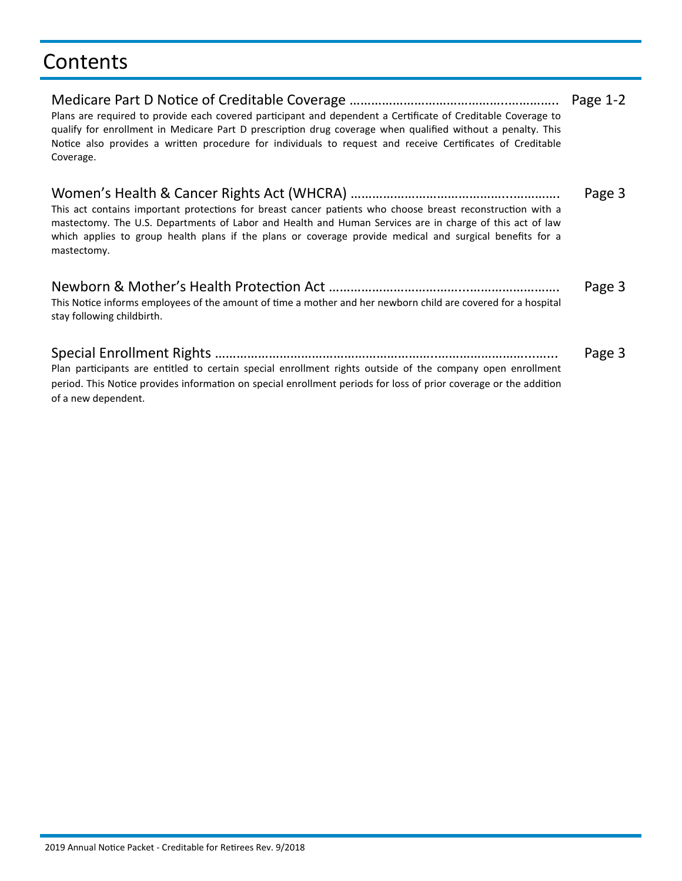### **Contents**

| Plans are required to provide each covered participant and dependent a Certificate of Creditable Coverage to<br>qualify for enrollment in Medicare Part D prescription drug coverage when qualified without a penalty. This<br>Notice also provides a written procedure for individuals to request and receive Certificates of Creditable<br>Coverage. | Page $1-2$ |
|--------------------------------------------------------------------------------------------------------------------------------------------------------------------------------------------------------------------------------------------------------------------------------------------------------------------------------------------------------|------------|
| This act contains important protections for breast cancer patients who choose breast reconstruction with a<br>mastectomy. The U.S. Departments of Labor and Health and Human Services are in charge of this act of law<br>which applies to group health plans if the plans or coverage provide medical and surgical benefits for a<br>mastectomy.      | Page 3     |
| This Notice informs employees of the amount of time a mother and her newborn child are covered for a hospital<br>stay following childbirth.                                                                                                                                                                                                            | Page 3     |
| Plan participants are entitled to certain special enrollment rights outside of the company open enrollment<br>period. This Notice provides information on special enrollment periods for loss of prior coverage or the addition<br>of a new dependent.                                                                                                 | Page 3     |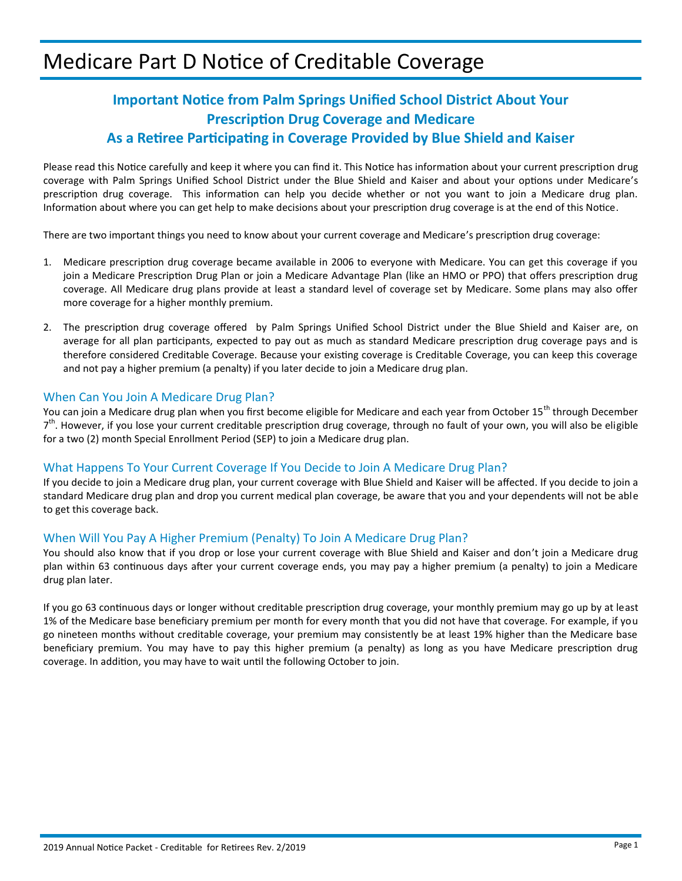### Medicare Part D Notice of Creditable Coverage

### **Important Notice from Palm Springs Unified School District About Your Prescription Drug Coverage and Medicare As a Retiree Participating in Coverage Provided by Blue Shield and Kaiser**

Please read this Notice carefully and keep it where you can find it. This Notice has information about your current prescription drug coverage with Palm Springs Unified School District under the Blue Shield and Kaiser and about your options under Medicare's prescription drug coverage. This information can help you decide whether or not you want to join a Medicare drug plan. Information about where you can get help to make decisions about your prescription drug coverage is at the end of this Notice.

There are two important things you need to know about your current coverage and Medicare's prescription drug coverage:

- 1. Medicare prescription drug coverage became available in 2006 to everyone with Medicare. You can get this coverage if you join a Medicare Prescription Drug Plan or join a Medicare Advantage Plan (like an HMO or PPO) that offers prescription drug coverage. All Medicare drug plans provide at least a standard level of coverage set by Medicare. Some plans may also offer more coverage for a higher monthly premium.
- 2. The prescription drug coverage offered by Palm Springs Unified School District under the Blue Shield and Kaiser are, on average for all plan participants, expected to pay out as much as standard Medicare prescription drug coverage pays and is therefore considered Creditable Coverage. Because your existing coverage is Creditable Coverage, you can keep this coverage and not pay a higher premium (a penalty) if you later decide to join a Medicare drug plan.

#### When Can You Join A Medicare Drug Plan?

You can join a Medicare drug plan when you first become eligible for Medicare and each year from October 15<sup>th</sup> through December 7<sup>th</sup>. However, if you lose your current creditable prescription drug coverage, through no fault of your own, you will also be eligible for a two (2) month Special Enrollment Period (SEP) to join a Medicare drug plan.

#### What Happens To Your Current Coverage If You Decide to Join A Medicare Drug Plan?

If you decide to join a Medicare drug plan, your current coverage with Blue Shield and Kaiser will be affected. If you decide to join a standard Medicare drug plan and drop you current medical plan coverage, be aware that you and your dependents will not be able to get this coverage back.

#### When Will You Pay A Higher Premium (Penalty) To Join A Medicare Drug Plan?

You should also know that if you drop or lose your current coverage with Blue Shield and Kaiser and don't join a Medicare drug plan within 63 continuous days after your current coverage ends, you may pay a higher premium (a penalty) to join a Medicare drug plan later.

If you go 63 continuous days or longer without creditable prescription drug coverage, your monthly premium may go up by at least 1% of the Medicare base beneficiary premium per month for every month that you did not have that coverage. For example, if you go nineteen months without creditable coverage, your premium may consistently be at least 19% higher than the Medicare base beneficiary premium. You may have to pay this higher premium (a penalty) as long as you have Medicare prescription drug coverage. In addition, you may have to wait until the following October to join.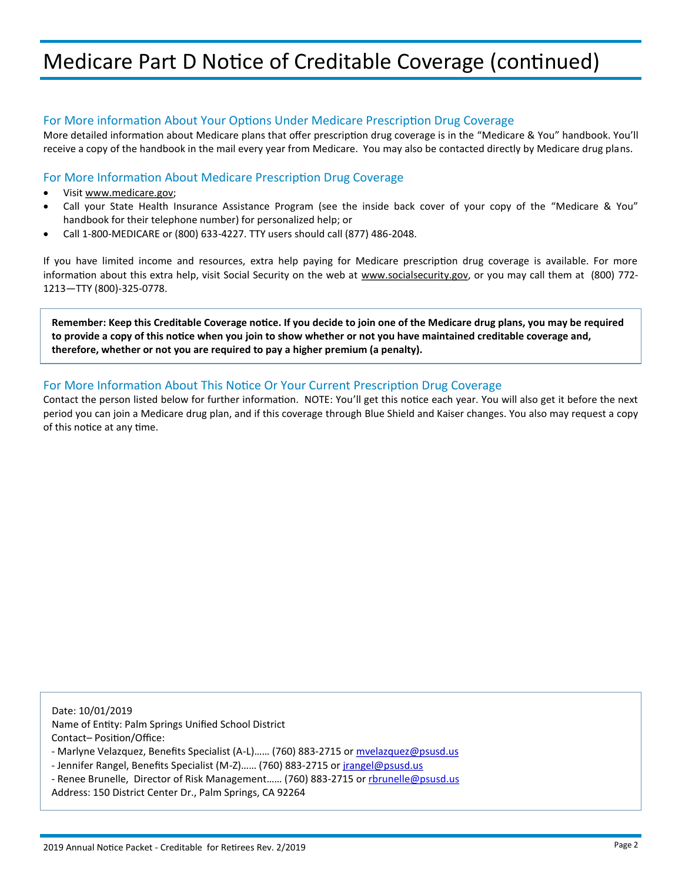### Medicare Part D Notice of Creditable Coverage (continued)

#### For More information About Your Options Under Medicare Prescription Drug Coverage

More detailed information about Medicare plans that offer prescription drug coverage is in the "Medicare & You" handbook. You'll receive a copy of the handbook in the mail every year from Medicare. You may also be contacted directly by Medicare drug plans.

#### For More Information About Medicare Prescription Drug Coverage

- Visit [www.medicare.gov;](http://www.medicare.gov/)
- Call your State Health Insurance Assistance Program (see the inside back cover of your copy of the "Medicare & You" handbook for their telephone number) for personalized help; or
- Call 1-800-MEDICARE or (800) 633-4227. TTY users should call (877) 486-2048.

If you have limited income and resources, extra help paying for Medicare prescription drug coverage is available. For more information about this extra help, visit Social Security on the web at [www.socialsecurity.gov,](http://www.socialsecurity.gov/) or you may call them at (800) 772-1213—TTY (800)-325-0778.

**Remember: Keep this Creditable Coverage notice. If you decide to join one of the Medicare drug plans, you may be required to provide a copy of this notice when you join to show whether or not you have maintained creditable coverage and, therefore, whether or not you are required to pay a higher premium (a penalty).**

#### For More Information About This Notice Or Your Current Prescription Drug Coverage

Contact the person listed below for further information. NOTE: You'll get this notice each year. You will also get it before the next period you can join a Medicare drug plan, and if this coverage through Blue Shield and Kaiser changes. You also may request a copy of this notice at any time.

Date: 10/01/2019

Name of Entity: Palm Springs Unified School District Contact– Position/Office:

- Marlyne Velazquez, Benefits Specialist (A-L)…… (760) 883-2715 or mvelazquez@psusd.us
- Jennifer Rangel, Benefits Specialist (M-Z)…… (760) 883-2715 or jrangel@psusd.us
- Renee Brunelle, Director of Risk Management…… (760) 883-2715 or rbrunelle@psusd.us
- Address: 150 District Center Dr., Palm Springs, CA 92264